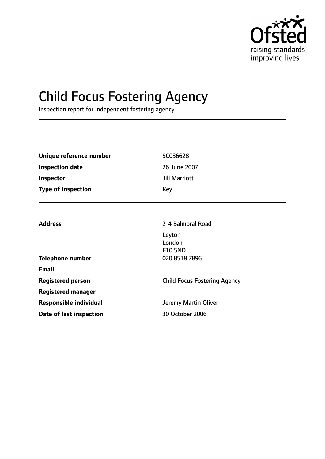

# Child Focus Fostering Agency

Inspection report for independent fostering agency

| Unique reference number       | SC036628                            |  |
|-------------------------------|-------------------------------------|--|
| <b>Inspection date</b>        | 26 June 2007                        |  |
| <b>Inspector</b>              | <b>Jill Marriott</b>                |  |
| <b>Type of Inspection</b>     | Key                                 |  |
|                               |                                     |  |
| <b>Address</b>                | 2-4 Balmoral Road                   |  |
|                               | Leyton                              |  |
|                               | London                              |  |
|                               | <b>E10 5ND</b>                      |  |
| <b>Telephone number</b>       | 020 8518 7896                       |  |
| <b>Email</b>                  |                                     |  |
| <b>Registered person</b>      | <b>Child Focus Fostering Agency</b> |  |
| <b>Registered manager</b>     |                                     |  |
| <b>Responsible individual</b> | Jeremy Martin Oliver                |  |
| Date of last inspection       | 30 October 2006                     |  |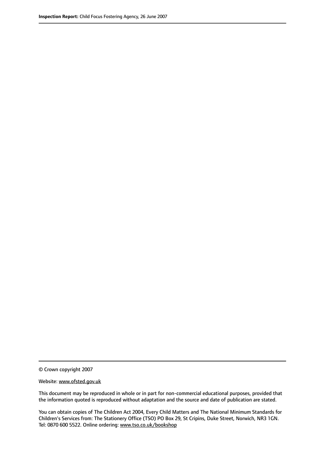© Crown copyright 2007

Website: www.ofsted.gov.uk

This document may be reproduced in whole or in part for non-commercial educational purposes, provided that the information quoted is reproduced without adaptation and the source and date of publication are stated.

You can obtain copies of The Children Act 2004, Every Child Matters and The National Minimum Standards for Children's Services from: The Stationery Office (TSO) PO Box 29, St Cripins, Duke Street, Norwich, NR3 1GN. Tel: 0870 600 5522. Online ordering: www.tso.co.uk/bookshop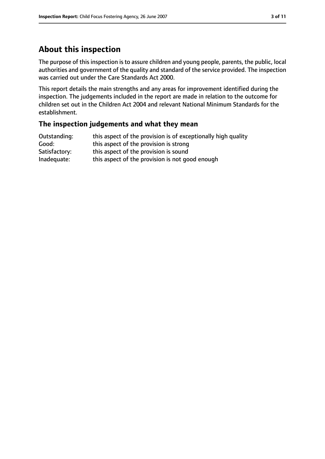# **About this inspection**

The purpose of this inspection is to assure children and young people, parents, the public, local authorities and government of the quality and standard of the service provided. The inspection was carried out under the Care Standards Act 2000.

This report details the main strengths and any areas for improvement identified during the inspection. The judgements included in the report are made in relation to the outcome for children set out in the Children Act 2004 and relevant National Minimum Standards for the establishment.

### **The inspection judgements and what they mean**

| Outstanding:  | this aspect of the provision is of exceptionally high quality |
|---------------|---------------------------------------------------------------|
| Good:         | this aspect of the provision is strong                        |
| Satisfactory: | this aspect of the provision is sound                         |
| Inadequate:   | this aspect of the provision is not good enough               |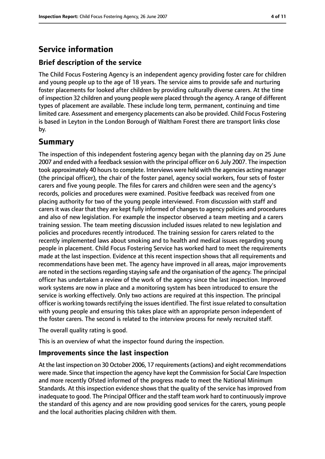# **Service information**

# **Brief description of the service**

The Child Focus Fostering Agency is an independent agency providing foster care for children and young people up to the age of 18 years. The service aims to provide safe and nurturing foster placements for looked after children by providing culturally diverse carers. At the time of inspection 32 children and young people were placed through the agency. A range of different types of placement are available. These include long term, permanent, continuing and time limited care. Assessment and emergency placements can also be provided. Child Focus Fostering is based in Leyton in the London Borough of Waltham Forest there are transport links close by.

# **Summary**

The inspection of this independent fostering agency began with the planning day on 25 June 2007 and ended with a feedback session with the principal officer on 6 July 2007. The inspection took approximately 40 hours to complete. Interviews were held with the agencies acting manager (the principal officer), the chair of the foster panel, agency social workers, four sets of foster carers and five young people. The files for carers and children were seen and the agency's records, policies and procedures were examined. Positive feedback was received from one placing authority for two of the young people interviewed. From discussion with staff and carers it was clear that they are kept fully informed of changes to agency policies and procedures and also of new legislation. For example the inspector observed a team meeting and a carers training session. The team meeting discussion included issues related to new legislation and policies and procedures recently introduced. The training session for carers related to the recently implemented laws about smoking and to health and medical issues regarding young people in placement. Child Focus Fostering Service has worked hard to meet the requirements made at the last inspection. Evidence at this recent inspection shows that all requirements and recommendations have been met. The agency have improved in all areas, major improvements are noted in the sections regarding staying safe and the organisation of the agency. The principal officer has undertaken a review of the work of the agency since the last inspection. Improved work systems are now in place and a monitoring system has been introduced to ensure the service is working effectively. Only two actions are required at this inspection. The principal officer is working towards rectifying the issues identified. The first issue related to consultation with young people and ensuring this takes place with an appropriate person independent of the foster carers. The second is related to the interview process for newly recruited staff.

The overall quality rating is good.

This is an overview of what the inspector found during the inspection.

### **Improvements since the last inspection**

At the last inspection on 30 October 2006, 17 requirements(actions) and eight recommendations were made. Since that inspection the agency have kept the Commission for Social Care Inspection and more recently Ofsted informed of the progress made to meet the National Minimum Standards. At this inspection evidence shows that the quality of the service has improved from inadequate to good. The Principal Officer and the staff team work hard to continuously improve the standard of this agency and are now providing good services for the carers, young people and the local authorities placing children with them.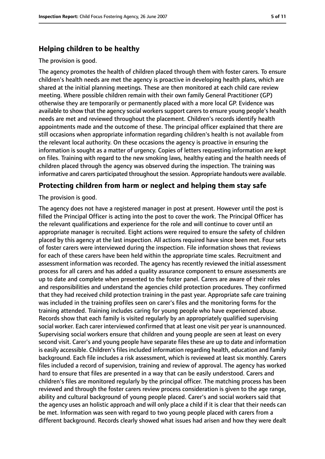### **Helping children to be healthy**

#### The provision is good.

The agency promotes the health of children placed through them with foster carers. To ensure children's health needs are met the agency is proactive in developing health plans, which are shared at the initial planning meetings. These are then monitored at each child care review meeting. Where possible children remain with their own family General Practitioner (GP) otherwise they are temporarily or permanently placed with a more local GP. Evidence was available to show that the agency social workers support carers to ensure young people's health needs are met and reviewed throughout the placement. Children's records identify health appointments made and the outcome of these. The principal officer explained that there are still occasions when appropriate information regarding children's health is not available from the relevant local authority. On these occasions the agency is proactive in ensuring the information is sought as a matter of urgency. Copies of letters requesting information are kept on files. Training with regard to the new smoking laws, healthy eating and the health needs of children placed through the agency was observed during the inspection. The training was informative and carers participated throughout the session. Appropriate handouts were available.

### **Protecting children from harm or neglect and helping them stay safe**

The provision is good.

The agency does not have a registered manager in post at present. However until the post is filled the Principal Officer is acting into the post to cover the work. The Principal Officer has the relevant qualifications and experience for the role and will continue to cover until an appropriate manager is recruited. Eight actions were required to ensure the safety of children placed by this agency at the last inspection. All actions required have since been met. Four sets of foster carers were interviewed during the inspection. File information shows that reviews for each of these carers have been held within the appropriate time scales. Recruitment and assessment information was recorded. The agency has recently reviewed the initial assessment process for all carers and has added a quality assurance component to ensure assessments are up to date and complete when presented to the foster panel. Carers are aware of their roles and responsibilities and understand the agencies child protection procedures. They confirmed that they had received child protection training in the past year. Appropriate safe care training was included in the training profiles seen on carer's files and the monitoring forms for the training attended. Training includes caring for young people who have experienced abuse. Records show that each family is visited regularly by an appropriately qualified supervising social worker. Each carer interviewed confirmed that at least one visit per year is unannounced. Supervising social workers ensure that children and young people are seen at least on every second visit. Carer's and young people have separate files these are up to date and information is easily accessible. Children's files included information regarding health, education and family background. Each file includes a risk assessment, which is reviewed at least six monthly. Carers files included a record of supervision, training and review of approval. The agency has worked hard to ensure that files are presented in a way that can be easily understood. Carers and children's files are monitored regularly by the principal officer. The matching process has been reviewed and through the foster carers review process consideration is given to the age range, ability and cultural background of young people placed. Carer's and social workers said that the agency uses an holistic approach and will only place a child if it is clear that their needs can be met. Information was seen with regard to two young people placed with carers from a different background. Records clearly showed what issues had arisen and how they were dealt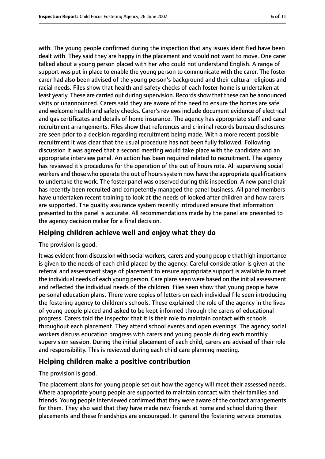with. The young people confirmed during the inspection that any issues identified have been dealt with. They said they are happy in the placement and would not want to move. One carer talked about a young person placed with her who could not understand English. A range of support was put in place to enable the young person to communicate with the carer. The foster carer had also been advised of the young person's background and their cultural religious and racial needs. Files show that health and safety checks of each foster home is undertaken at least yearly. These are carried out during supervision. Recordsshow that these can be announced visits or unannounced. Carers said they are aware of the need to ensure the homes are safe and welcome health and safety checks. Carer's reviews include document evidence of electrical and gas certificates and details of home insurance. The agency has appropriate staff and carer recruitment arrangements. Files show that references and criminal records bureau disclosures are seen prior to a decision regarding recruitment being made. With a more recent possible recruitment it was clear that the usual procedure has not been fully followed. Following discussion it was agreed that a second meeting would take place with the candidate and an appropriate interview panel. An action has been required related to recruitment. The agency has reviewed it's procedures for the operation of the out of hours rota. All supervising social workers and those who operate the out of hours system now have the appropriate qualifications to undertake the work. The foster panel was observed during this inspection. A new panel chair has recently been recruited and competently managed the panel business. All panel members have undertaken recent training to look at the needs of looked after children and how carers are supported. The quality assurance system recently introduced ensure that information presented to the panel is accurate. All recommendations made by the panel are presented to the agency decision maker for a final decision.

# **Helping children achieve well and enjoy what they do**

The provision is good.

It was evident from discussion with social workers, carers and young people that high importance is given to the needs of each child placed by the agency. Careful consideration is given at the referral and assessment stage of placement to ensure appropriate support is available to meet the individual needs of each young person. Care plans seen were based on the initial assessment and reflected the individual needs of the children. Files seen show that young people have personal education plans. There were copies of letters on each individual file seen introducing the fostering agency to children's schools. These explained the role of the agency in the lives of young people placed and asked to be kept informed through the carers of educational progress. Carers told the inspector that it is their role to maintain contact with schools throughout each placement. They attend school events and open evenings. The agency social workers discuss education progress with carers and young people during each monthly supervision session. During the initial placement of each child, carers are advised of their role and responsibility. This is reviewed during each child care planning meeting.

### **Helping children make a positive contribution**

The provision is good.

The placement plans for young people set out how the agency will meet their assessed needs. Where appropriate young people are supported to maintain contact with their families and friends. Young people interviewed confirmed that they were aware of the contact arrangements for them. They also said that they have made new friends at home and school during their placements and these friendships are encouraged. In general the fostering service promotes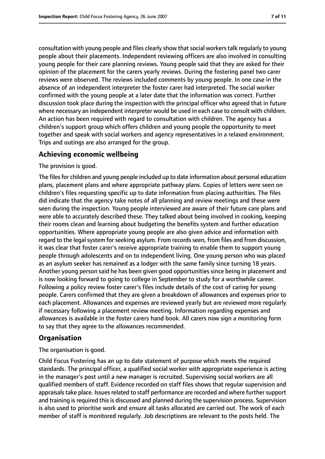consultation with young people and files clearly show that social workers talk regularly to young people about their placements. Independent reviewing officers are also involved in consulting young people for their care planning reviews. Young people said that they are asked for their opinion of the placement for the carers yearly reviews. During the fostering panel two carer reviews were observed. The reviews included comments by young people. In one case in the absence of an independent interpreter the foster carer had interpreted. The social worker confirmed with the young people at a later date that the information was correct. Further discussion took place during the inspection with the principal officer who agreed that in future where necessary an independent interpreter would be used in each case to consult with children. An action has been required with regard to consultation with children. The agency has a children's support group which offers children and young people the opportunity to meet together and speak with social workers and agency representatives in a relaxed environment. Trips and outings are also arranged for the group.

### **Achieving economic wellbeing**

The provision is good.

The files for children and young people included up to date information about personal education plans, placement plans and where appropriate pathway plans. Copies of letters were seen on children's files requesting specific up to date information from placing authorities. The files did indicate that the agency take notes of all planning and review meetings and these were seen during the inspection. Young people interviewed are aware of their future care plans and were able to accurately described these. They talked about being involved in cooking, keeping their rooms clean and learning about budgeting the benefits system and further education opportunities. Where appropriate young people are also given advice and information with regard to the legal system for seeking asylum. From records seen, from files and from discussion, it was clear that foster carer's receive appropriate training to enable them to support young people through adolescents and on to independent living. One young person who was placed as an asylum seeker has remained as a lodger with the same family since turning 18 years. Another young person said he has been given good opportunities since being in placement and is now looking forward to going to college in September to study for a worthwhile career. Following a policy review foster carer's files include details of the cost of caring for young people. Carers confirmed that they are given a breakdown of allowances and expenses prior to each placement. Allowances and expenses are reviewed yearly but are reviewed more regularly if necessary following a placement review meeting. Information regarding expenses and allowances is available in the foster carers hand book. All carers now sign a monitoring form to say that they agree to the allowances recommended.

# **Organisation**

The organisation is good.

Child Focus Fostering has an up to date statement of purpose which meets the required standards. The principal officer, a qualified social worker with appropriate experience is acting in the manager's post until a new manager is recruited. Supervising social workers are all qualified members of staff. Evidence recorded on staff files shows that regular supervision and appraisals take place. Issues related to staff performance are recorded and where further support and training is required this is discussed and planned during the supervision process. Supervision is also used to prioritise work and ensure all tasks allocated are carried out. The work of each member of staff is monitored regularly. Job descriptions are relevant to the posts held. The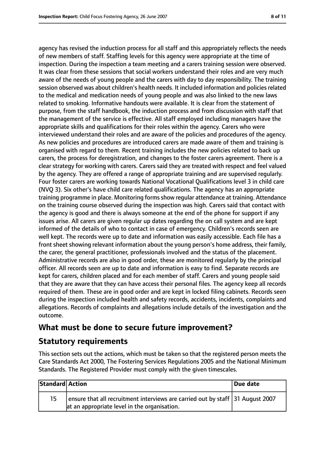agency has revised the induction process for all staff and this appropriately reflects the needs of new members of staff. Staffing levels for this agency were appropriate at the time of inspection. During the inspection a team meeting and a carers training session were observed. It was clear from these sessions that social workers understand their roles and are very much aware of the needs of young people and the carers with day to day responsibility. The training session observed was about children's health needs. It included information and policies related to the medical and medication needs of young people and was also linked to the new laws related to smoking. Informative handouts were available. It is clear from the statement of purpose, from the staff handbook, the induction process and from discussion with staff that the management of the service is effective. All staff employed including managers have the appropriate skills and qualifications for their roles within the agency. Carers who were interviewed understand their roles and are aware of the policies and procedures of the agency. As new policies and procedures are introduced carers are made aware of them and training is organised with regard to them. Recent training includes the new policies related to back up carers, the process for deregistration, and changes to the foster carers agreement. There is a clear strategy for working with carers. Carers said they are treated with respect and feel valued by the agency. They are offered a range of appropriate training and are supervised regularly. Four foster carers are working towards National Vocational Qualifications level 3 in child care (NVQ 3). Six other's have child care related qualifications. The agency has an appropriate training programme in place. Monitoring formsshow regular attendance at training. Attendance on the training course observed during the inspection was high. Carers said that contact with the agency is good and there is always someone at the end of the phone for support if any issues arise. All carers are given regular up dates regarding the on call system and are kept informed of the details of who to contact in case of emergency. Children's records seen are well kept. The records were up to date and information was easily accessible. Each file has a front sheet showing relevant information about the young person's home address, their family, the carer, the general practitioner, professionals involved and the status of the placement. Administrative records are also in good order, these are monitored regularly by the principal officer. All records seen are up to date and information is easy to find. Separate records are kept for carers, children placed and for each member of staff. Carers and young people said that they are aware that they can have access their personal files. The agency keep all records required of them. These are in good order and are kept in locked filing cabinets. Records seen during the inspection included health and safety records, accidents, incidents, complaints and allegations. Records of complaints and allegations include details of the investigation and the outcome.

# **What must be done to secure future improvement?**

# **Statutory requirements**

This section sets out the actions, which must be taken so that the registered person meets the Care Standards Act 2000, The Fostering Services Regulations 2005 and the National Minimum Standards. The Registered Provider must comply with the given timescales.

| Standard Action |                                                                                                                                | Due date |
|-----------------|--------------------------------------------------------------------------------------------------------------------------------|----------|
| 15              | ensure that all recruitment interviews are carried out by staff 31 August 2007<br>at an appropriate level in the organisation. |          |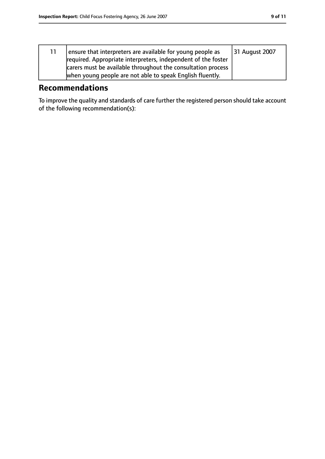| ensure that interpreters are available for young people as    | 31 August 2007 |
|---------------------------------------------------------------|----------------|
| required. Appropriate interpreters, independent of the foster |                |
| carers must be available throughout the consultation process  |                |
| when young people are not able to speak English fluently.     |                |

# **Recommendations**

To improve the quality and standards of care further the registered person should take account of the following recommendation(s):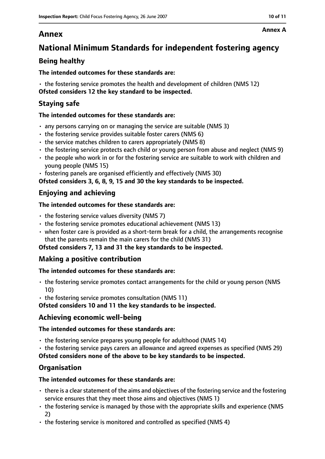# **Annex**

# **National Minimum Standards for independent fostering agency**

# **Being healthy**

### **The intended outcomes for these standards are:**

• the fostering service promotes the health and development of children (NMS 12) **Ofsted considers 12 the key standard to be inspected.**

# **Staying safe**

### **The intended outcomes for these standards are:**

- any persons carrying on or managing the service are suitable (NMS 3)
- the fostering service provides suitable foster carers (NMS 6)
- the service matches children to carers appropriately (NMS 8)
- the fostering service protects each child or young person from abuse and neglect (NMS 9)
- the people who work in or for the fostering service are suitable to work with children and young people (NMS 15)
- fostering panels are organised efficiently and effectively (NMS 30)

**Ofsted considers 3, 6, 8, 9, 15 and 30 the key standards to be inspected.**

# **Enjoying and achieving**

### **The intended outcomes for these standards are:**

- $\cdot$  the fostering service values diversity (NMS 7)
- the fostering service promotes educational achievement (NMS 13)
- when foster care is provided as a short-term break for a child, the arrangements recognise that the parents remain the main carers for the child (NMS 31)

### **Ofsted considers 7, 13 and 31 the key standards to be inspected.**

# **Making a positive contribution**

### **The intended outcomes for these standards are:**

- the fostering service promotes contact arrangements for the child or young person (NMS 10)
- the fostering service promotes consultation (NMS 11)

**Ofsted considers 10 and 11 the key standards to be inspected.**

### **Achieving economic well-being**

### **The intended outcomes for these standards are:**

- the fostering service prepares young people for adulthood (NMS 14)
- the fostering service pays carers an allowance and agreed expenses as specified (NMS 29)

**Ofsted considers none of the above to be key standards to be inspected.**

# **Organisation**

### **The intended outcomes for these standards are:**

- $\cdot$  there is a clear statement of the aims and objectives of the fostering service and the fostering service ensures that they meet those aims and objectives (NMS 1)
- the fostering service is managed by those with the appropriate skills and experience (NMS 2)
- the fostering service is monitored and controlled as specified (NMS 4)